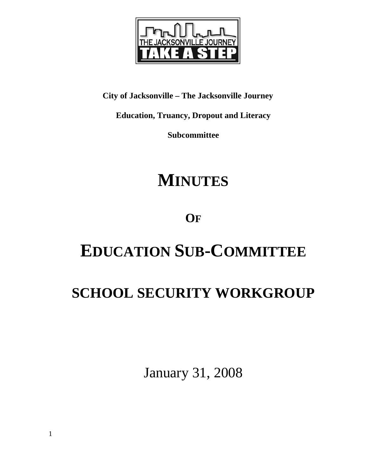

**City of Jacksonville – The Jacksonville Journey** 

**Education, Truancy, Dropout and Literacy** 

**Subcommittee** 

# **MINUTES**

# **OF**

# **EDUCATION SUB-COMMITTEE**

# **SCHOOL SECURITY WORKGROUP**

January 31, 2008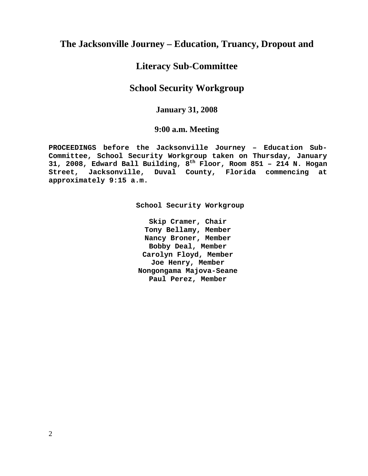# **The Jacksonville Journey – Education, Truancy, Dropout and**

# **Literacy Sub-Committee**

# **School Security Workgroup**

## **January 31, 2008**

### **9:00 a.m. Meeting**

**PROCEEDINGS before the Jacksonville Journey – Education Sub-Committee, School Security Workgroup taken on Thursday, January 31, 2008, Edward Ball Building, 8th Floor, Room 851 – 214 N. Hogan Street, Jacksonville, Duval County, Florida commencing at approximately 9:15 a.m.** 

**School Security Workgroup** 

**Skip Cramer, Chair Tony Bellamy, Member Nancy Broner, Member Bobby Deal, Member Carolyn Floyd, Member Joe Henry, Member Nongongama Majova-Seane Paul Perez, Member**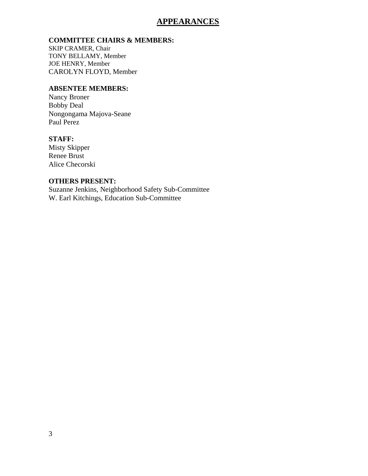## **APPEARANCES**

#### **COMMITTEE CHAIRS & MEMBERS:**

SKIP CRAMER, Chair TONY BELLAMY, Member JOE HENRY, Member CAROLYN FLOYD, Member

#### **ABSENTEE MEMBERS:**

Nancy Broner Bobby Deal Nongongama Majova-Seane Paul Perez

### **STAFF:**

Misty Skipper Renee Brust Alice Checorski

#### **OTHERS PRESENT:**

Suzanne Jenkins, Neighborhood Safety Sub-Committee W. Earl Kitchings, Education Sub-Committee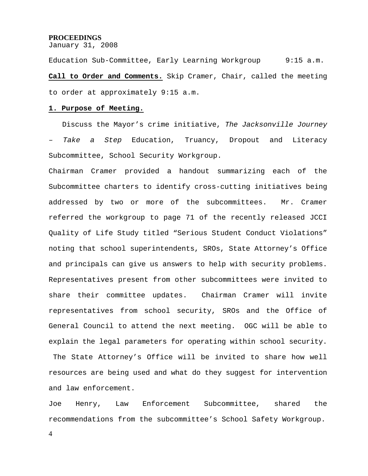#### **PROCEEDINGS**

January 31, 2008

Education Sub-Committee, Early Learning Workgroup 9:15 a.m. **Call to Order and Comments.** Skip Cramer, Chair, called the meeting to order at approximately 9:15 a.m.

#### **1. Purpose of Meeting.**

 Discuss the Mayor's crime initiative, *The Jacksonville Journey – Take a Step* Education, Truancy, Dropout and Literacy Subcommittee, School Security Workgroup.

Chairman Cramer provided a handout summarizing each of the Subcommittee charters to identify cross-cutting initiatives being addressed by two or more of the subcommittees. Mr. Cramer referred the workgroup to page 71 of the recently released JCCI Quality of Life Study titled "Serious Student Conduct Violations" noting that school superintendents, SROs, State Attorney's Office and principals can give us answers to help with security problems. Representatives present from other subcommittees were invited to share their committee updates. Chairman Cramer will invite representatives from school security, SROs and the Office of General Council to attend the next meeting. OGC will be able to explain the legal parameters for operating within school security.

 The State Attorney's Office will be invited to share how well resources are being used and what do they suggest for intervention and law enforcement.

Joe Henry, Law Enforcement Subcommittee, shared the recommendations from the subcommittee's School Safety Workgroup.

4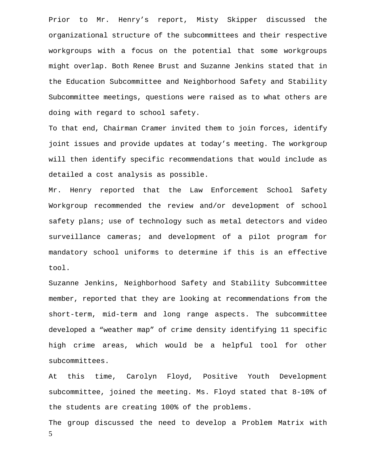Prior to Mr. Henry's report, Misty Skipper discussed the organizational structure of the subcommittees and their respective workgroups with a focus on the potential that some workgroups might overlap. Both Renee Brust and Suzanne Jenkins stated that in the Education Subcommittee and Neighborhood Safety and Stability Subcommittee meetings, questions were raised as to what others are doing with regard to school safety.

To that end, Chairman Cramer invited them to join forces, identify joint issues and provide updates at today's meeting. The workgroup will then identify specific recommendations that would include as detailed a cost analysis as possible.

Mr. Henry reported that the Law Enforcement School Safety Workgroup recommended the review and/or development of school safety plans; use of technology such as metal detectors and video surveillance cameras; and development of a pilot program for mandatory school uniforms to determine if this is an effective tool.

Suzanne Jenkins, Neighborhood Safety and Stability Subcommittee member, reported that they are looking at recommendations from the short-term, mid-term and long range aspects. The subcommittee developed a "weather map" of crime density identifying 11 specific high crime areas, which would be a helpful tool for other subcommittees.

At this time, Carolyn Floyd, Positive Youth Development subcommittee, joined the meeting. Ms. Floyd stated that 8-10% of the students are creating 100% of the problems.

5 The group discussed the need to develop a Problem Matrix with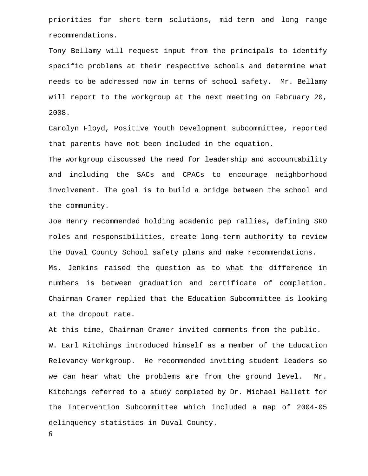priorities for short-term solutions, mid-term and long range recommendations.

Tony Bellamy will request input from the principals to identify specific problems at their respective schools and determine what needs to be addressed now in terms of school safety. Mr. Bellamy will report to the workgroup at the next meeting on February 20, 2008.

Carolyn Floyd, Positive Youth Development subcommittee, reported that parents have not been included in the equation.

The workgroup discussed the need for leadership and accountability and including the SACs and CPACs to encourage neighborhood involvement. The goal is to build a bridge between the school and the community.

Joe Henry recommended holding academic pep rallies, defining SRO roles and responsibilities, create long-term authority to review the Duval County School safety plans and make recommendations. Ms. Jenkins raised the question as to what the difference in numbers is between graduation and certificate of completion. Chairman Cramer replied that the Education Subcommittee is looking at the dropout rate.

At this time, Chairman Cramer invited comments from the public. W. Earl Kitchings introduced himself as a member of the Education Relevancy Workgroup. He recommended inviting student leaders so we can hear what the problems are from the ground level. Mr. Kitchings referred to a study completed by Dr. Michael Hallett for the Intervention Subcommittee which included a map of 2004-05 delinquency statistics in Duval County.

6